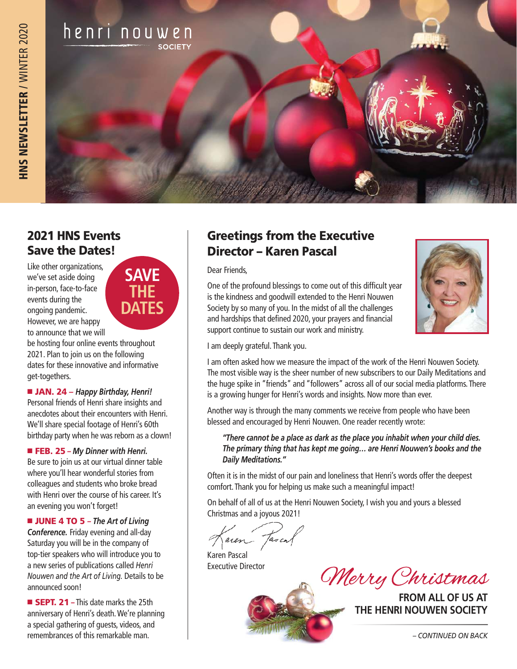

## 2021 HNS Events Save the Dates!

Like other organizations, we've set aside doing in-person, face-to-face events during the ongoing pandemic. However, we are happy to announce that we will

be hosting four online events throughout 2021. Plan to join us on the following dates for these innovative and informative get-togethers.

■ **JAN. 24** – *Happy Birthday, Henri!* Personal friends of Henri share insights and anecdotes about their encounters with Henri. We'll share special footage of Henri's 60th birthday party when he was reborn as a clown!

■ FEB. 25 – My Dinner with Henri. Be sure to join us at our virtual dinner table where you'll hear wonderful stories from colleagues and students who broke bread with Henri over the course of his career. It's an evening you won't forget!

■ **JUNE 4 TO 5** – *The Art of Living Conference.* Friday evening and all-day Saturday you will be in the company of top-tier speakers who will introduce you to a new series of publications called *Henri Nouwen and the Art of Living.* Details to be announced soon!

**EXECT. 21** – This date marks the 25th anniversary of Henri's death. We're planning a special gathering of guests, videos, and remembrances of this remarkable man.



#### Greetings from the Executive Director – Karen Pascal

Dear Friends,

One of the profound blessings to come out of this difficult year is the kindness and goodwill extended to the Henri Nouwen Society by so many of you. In the midst of all the challenges and hardships that defined 2020, your prayers and financial support continue to sustain our work and ministry.



I am deeply grateful. Thank you.

I am often asked how we measure the impact of the work of the Henri Nouwen Society. The most visible way is the sheer number of new subscribers to our Daily Meditations and the huge spike in "friends" and "followers" across all of our social media platforms. There is a growing hunger for Henri's words and insights. Now more than ever.

Another way is through the many comments we receive from people who have been blessed and encouraged by Henri Nouwen. One reader recently wrote:

*"There cannot be a place as dark as the place you inhabit when your child dies. The primary thing that has kept me going… are Henri Nouwen's books and the Daily Meditations."* 

Often it is in the midst of our pain and loneliness that Henri's words offer the deepest comfort. Thank you for helping us make such a meaningful impact!

On behalf of all of us at the Henri Nouwen Society, I wish you and yours a blessed Christmas and a joyous 2021!

aren Tasco

Karen Pascal Executive Director

*CMerry Christmas* 

**THE HENRI NOUWEN SOCIETY**